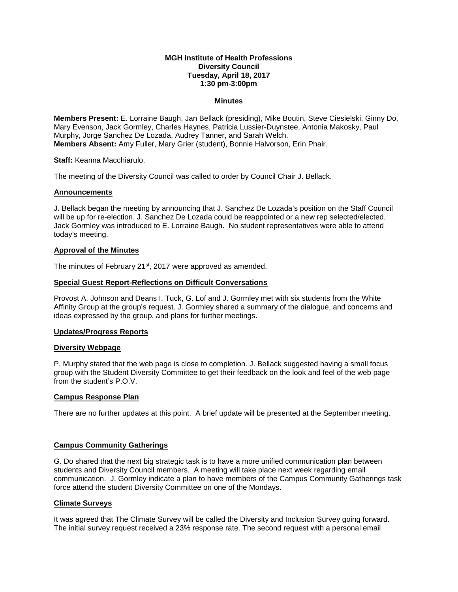### **MGH Institute of Health Professions Diversity Council Tuesday, April 18, 2017 1:30 pm-3:00pm**

### **Minutes**

**Members Present:** E. Lorraine Baugh, Jan Bellack (presiding), Mike Boutin, Steve Ciesielski, Ginny Do, Mary Evenson, Jack Gormley, Charles Haynes, Patricia Lussier-Duynstee, Antonia Makosky, Paul Murphy, Jorge Sanchez De Lozada, Audrey Tanner, and Sarah Welch. **Members Absent:** Amy Fuller, Mary Grier (student), Bonnie Halvorson, Erin Phair.

**Staff:** Keanna Macchiarulo.

The meeting of the Diversity Council was called to order by Council Chair J. Bellack.

#### **Announcements**

J. Bellack began the meeting by announcing that J. Sanchez De Lozada's position on the Staff Council will be up for re-election. J. Sanchez De Lozada could be reappointed or a new rep selected/elected. Jack Gormley was introduced to E. Lorraine Baugh. No student representatives were able to attend today's meeting.

#### **Approval of the Minutes**

The minutes of February 21<sup>st</sup>, 2017 were approved as amended.

#### **Special Guest Report-Reflections on Difficult Conversations**

Provost A. Johnson and Deans I. Tuck, G. Lof and J. Gormley met with six students from the White Affinity Group at the group's request. J. Gormley shared a summary of the dialogue, and concerns and ideas expressed by the group, and plans for further meetings.

#### **Updates/Progress Reports**

#### **Diversity Webpage**

P. Murphy stated that the web page is close to completion. J. Bellack suggested having a small focus group with the Student Diversity Committee to get their feedback on the look and feel of the web page from the student's P.O.V.

## **Campus Response Plan**

There are no further updates at this point. A brief update will be presented at the September meeting.

## **Campus Community Gatherings**

G. Do shared that the next big strategic task is to have a more unified communication plan between students and Diversity Council members. A meeting will take place next week regarding email communication. J. Gormley indicate a plan to have members of the Campus Community Gatherings task force attend the student Diversity Committee on one of the Mondays.

## **Climate Surveys**

It was agreed that The Climate Survey will be called the Diversity and Inclusion Survey going forward. The initial survey request received a 23% response rate. The second request with a personal email